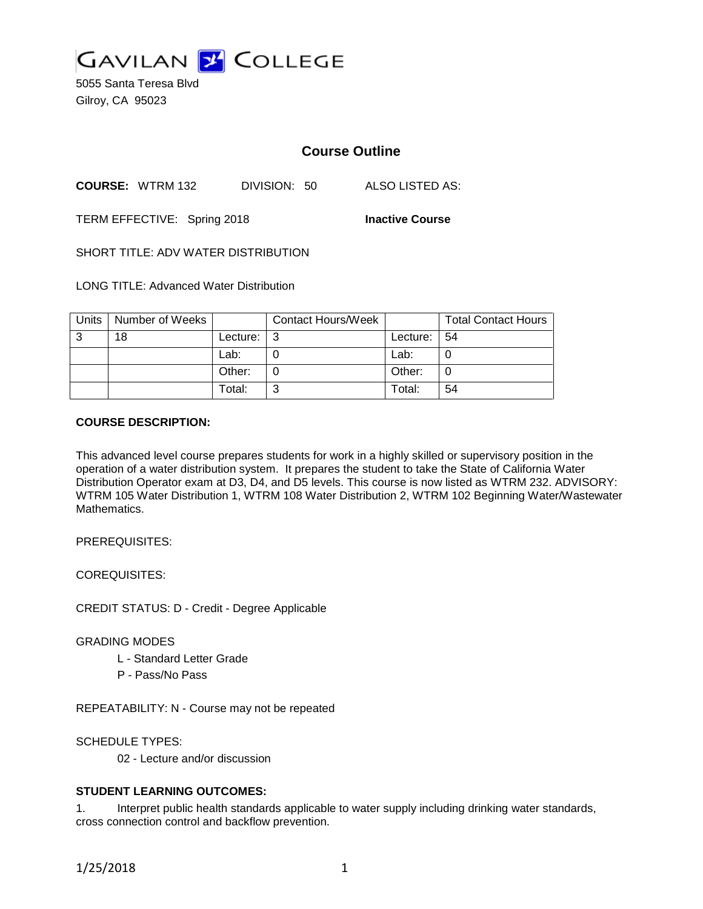

5055 Santa Teresa Blvd Gilroy, CA 95023

# **Course Outline**

**COURSE:** WTRM 132 DIVISION: 50 ALSO LISTED AS:

TERM EFFECTIVE: Spring 2018 **Inactive Course**

SHORT TITLE: ADV WATER DISTRIBUTION

LONG TITLE: Advanced Water Distribution

| Units | Number of Weeks |          | <b>Contact Hours/Week</b> |            | <b>Total Contact Hours</b> |
|-------|-----------------|----------|---------------------------|------------|----------------------------|
| -3    | 18              | Lecture: |                           | Lecture: I | -54                        |
|       |                 | Lab:     |                           | Lab:       |                            |
|       |                 | Other:   |                           | Other:     |                            |
|       |                 | Total:   |                           | Total:     | 54                         |

# **COURSE DESCRIPTION:**

This advanced level course prepares students for work in a highly skilled or supervisory position in the operation of a water distribution system. It prepares the student to take the State of California Water Distribution Operator exam at D3, D4, and D5 levels. This course is now listed as WTRM 232. ADVISORY: WTRM 105 Water Distribution 1, WTRM 108 Water Distribution 2, WTRM 102 Beginning Water/Wastewater Mathematics.

PREREQUISITES:

COREQUISITES:

CREDIT STATUS: D - Credit - Degree Applicable

GRADING MODES

- L Standard Letter Grade
- P Pass/No Pass

REPEATABILITY: N - Course may not be repeated

SCHEDULE TYPES:

02 - Lecture and/or discussion

# **STUDENT LEARNING OUTCOMES:**

1. Interpret public health standards applicable to water supply including drinking water standards, cross connection control and backflow prevention.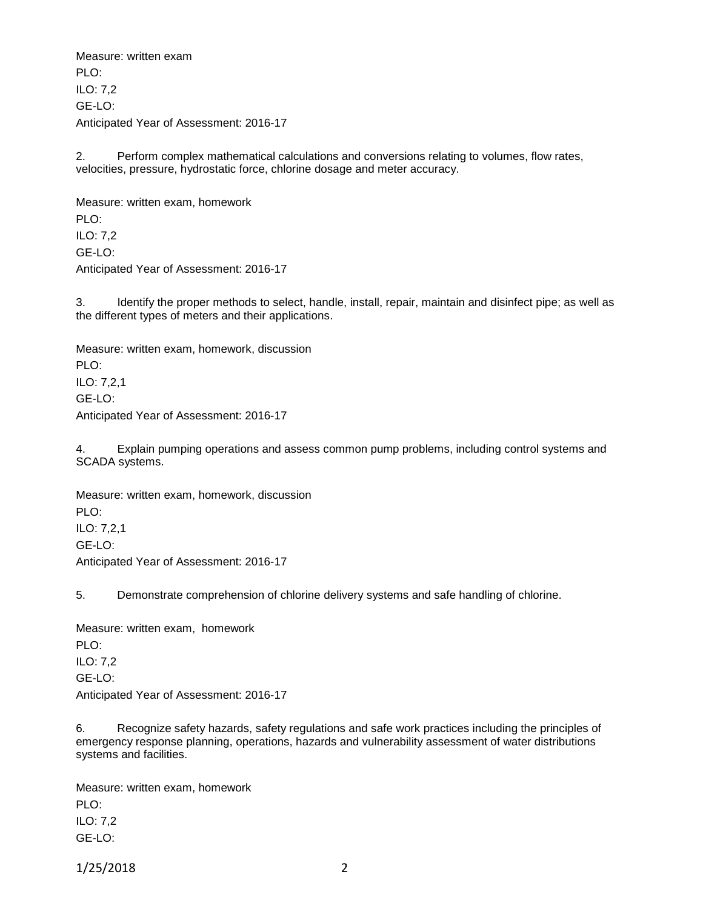Measure: written exam PLO<sup>.</sup> ILO: 7,2 GE-LO: Anticipated Year of Assessment: 2016-17

2. Perform complex mathematical calculations and conversions relating to volumes, flow rates, velocities, pressure, hydrostatic force, chlorine dosage and meter accuracy.

Measure: written exam, homework PLO: ILO: 7,2 GE-LO: Anticipated Year of Assessment: 2016-17

3. Identify the proper methods to select, handle, install, repair, maintain and disinfect pipe; as well as the different types of meters and their applications.

Measure: written exam, homework, discussion PLO: ILO: 7,2,1 GE-LO: Anticipated Year of Assessment: 2016-17

4. Explain pumping operations and assess common pump problems, including control systems and SCADA systems.

Measure: written exam, homework, discussion PLO: ILO: 7,2,1 GE-LO: Anticipated Year of Assessment: 2016-17

5. Demonstrate comprehension of chlorine delivery systems and safe handling of chlorine.

Measure: written exam, homework PLO: ILO: 7,2 GE-LO: Anticipated Year of Assessment: 2016-17

6. Recognize safety hazards, safety regulations and safe work practices including the principles of emergency response planning, operations, hazards and vulnerability assessment of water distributions systems and facilities.

Measure: written exam, homework PLO: ILO: 7,2 GE-LO:

1/25/2018 2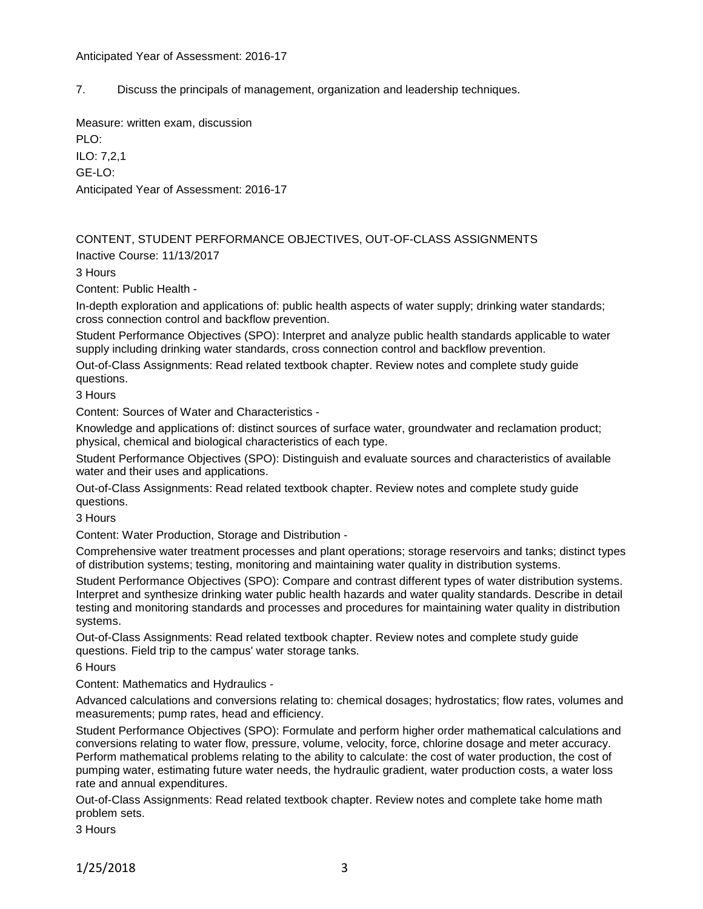# Anticipated Year of Assessment: 2016-17

7. Discuss the principals of management, organization and leadership techniques.

Measure: written exam, discussion

PLO: ILO: 7,2,1 GE-LO: Anticipated Year of Assessment: 2016-17

CONTENT, STUDENT PERFORMANCE OBJECTIVES, OUT-OF-CLASS ASSIGNMENTS Inactive Course: 11/13/2017

3 Hours

Content: Public Health -

In-depth exploration and applications of: public health aspects of water supply; drinking water standards; cross connection control and backflow prevention.

Student Performance Objectives (SPO): Interpret and analyze public health standards applicable to water supply including drinking water standards, cross connection control and backflow prevention.

Out-of-Class Assignments: Read related textbook chapter. Review notes and complete study guide questions.

3 Hours

Content: Sources of Water and Characteristics -

Knowledge and applications of: distinct sources of surface water, groundwater and reclamation product; physical, chemical and biological characteristics of each type.

Student Performance Objectives (SPO): Distinguish and evaluate sources and characteristics of available water and their uses and applications.

Out-of-Class Assignments: Read related textbook chapter. Review notes and complete study guide questions.

3 Hours

Content: Water Production, Storage and Distribution -

Comprehensive water treatment processes and plant operations; storage reservoirs and tanks; distinct types of distribution systems; testing, monitoring and maintaining water quality in distribution systems.

Student Performance Objectives (SPO): Compare and contrast different types of water distribution systems. Interpret and synthesize drinking water public health hazards and water quality standards. Describe in detail testing and monitoring standards and processes and procedures for maintaining water quality in distribution systems.

Out-of-Class Assignments: Read related textbook chapter. Review notes and complete study guide questions. Field trip to the campus' water storage tanks.

6 Hours

Content: Mathematics and Hydraulics -

Advanced calculations and conversions relating to: chemical dosages; hydrostatics; flow rates, volumes and measurements; pump rates, head and efficiency.

Student Performance Objectives (SPO): Formulate and perform higher order mathematical calculations and conversions relating to water flow, pressure, volume, velocity, force, chlorine dosage and meter accuracy. Perform mathematical problems relating to the ability to calculate: the cost of water production, the cost of pumping water, estimating future water needs, the hydraulic gradient, water production costs, a water loss rate and annual expenditures.

Out-of-Class Assignments: Read related textbook chapter. Review notes and complete take home math problem sets.

3 Hours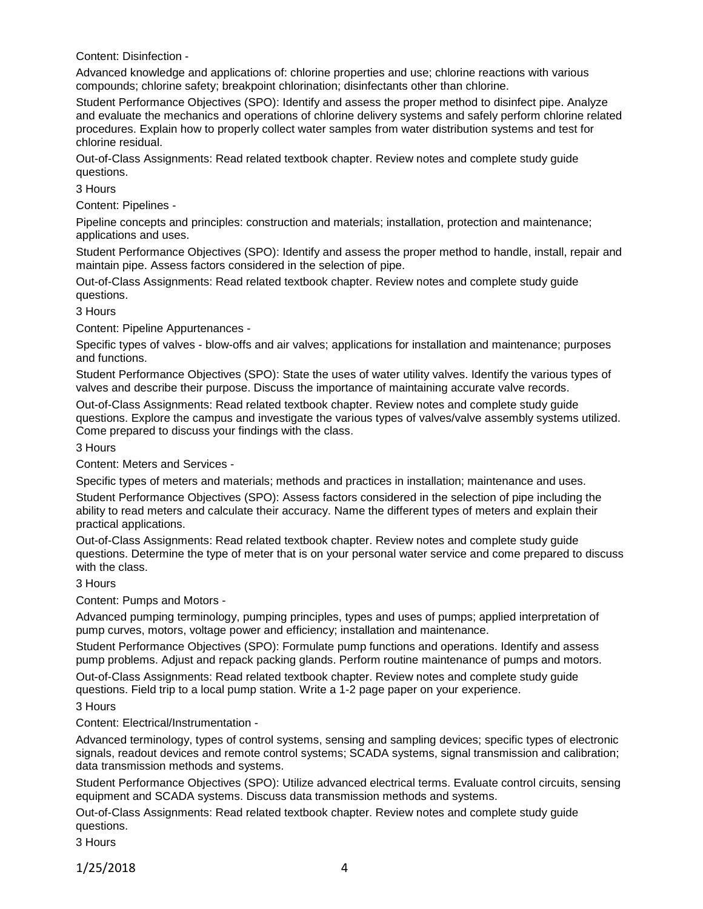Content: Disinfection -

Advanced knowledge and applications of: chlorine properties and use; chlorine reactions with various compounds; chlorine safety; breakpoint chlorination; disinfectants other than chlorine.

Student Performance Objectives (SPO): Identify and assess the proper method to disinfect pipe. Analyze and evaluate the mechanics and operations of chlorine delivery systems and safely perform chlorine related procedures. Explain how to properly collect water samples from water distribution systems and test for chlorine residual.

Out-of-Class Assignments: Read related textbook chapter. Review notes and complete study guide questions.

3 Hours

Content: Pipelines -

Pipeline concepts and principles: construction and materials; installation, protection and maintenance; applications and uses.

Student Performance Objectives (SPO): Identify and assess the proper method to handle, install, repair and maintain pipe. Assess factors considered in the selection of pipe.

Out-of-Class Assignments: Read related textbook chapter. Review notes and complete study guide questions.

3 Hours

Content: Pipeline Appurtenances -

Specific types of valves - blow-offs and air valves; applications for installation and maintenance; purposes and functions.

Student Performance Objectives (SPO): State the uses of water utility valves. Identify the various types of valves and describe their purpose. Discuss the importance of maintaining accurate valve records.

Out-of-Class Assignments: Read related textbook chapter. Review notes and complete study guide questions. Explore the campus and investigate the various types of valves/valve assembly systems utilized. Come prepared to discuss your findings with the class.

3 Hours

Content: Meters and Services -

Specific types of meters and materials; methods and practices in installation; maintenance and uses.

Student Performance Objectives (SPO): Assess factors considered in the selection of pipe including the ability to read meters and calculate their accuracy. Name the different types of meters and explain their practical applications.

Out-of-Class Assignments: Read related textbook chapter. Review notes and complete study guide questions. Determine the type of meter that is on your personal water service and come prepared to discuss with the class.

3 Hours

Content: Pumps and Motors -

Advanced pumping terminology, pumping principles, types and uses of pumps; applied interpretation of pump curves, motors, voltage power and efficiency; installation and maintenance.

Student Performance Objectives (SPO): Formulate pump functions and operations. Identify and assess pump problems. Adjust and repack packing glands. Perform routine maintenance of pumps and motors.

Out-of-Class Assignments: Read related textbook chapter. Review notes and complete study guide questions. Field trip to a local pump station. Write a 1-2 page paper on your experience.

3 Hours

Content: Electrical/Instrumentation -

Advanced terminology, types of control systems, sensing and sampling devices; specific types of electronic signals, readout devices and remote control systems; SCADA systems, signal transmission and calibration; data transmission methods and systems.

Student Performance Objectives (SPO): Utilize advanced electrical terms. Evaluate control circuits, sensing equipment and SCADA systems. Discuss data transmission methods and systems.

Out-of-Class Assignments: Read related textbook chapter. Review notes and complete study guide questions.

3 Hours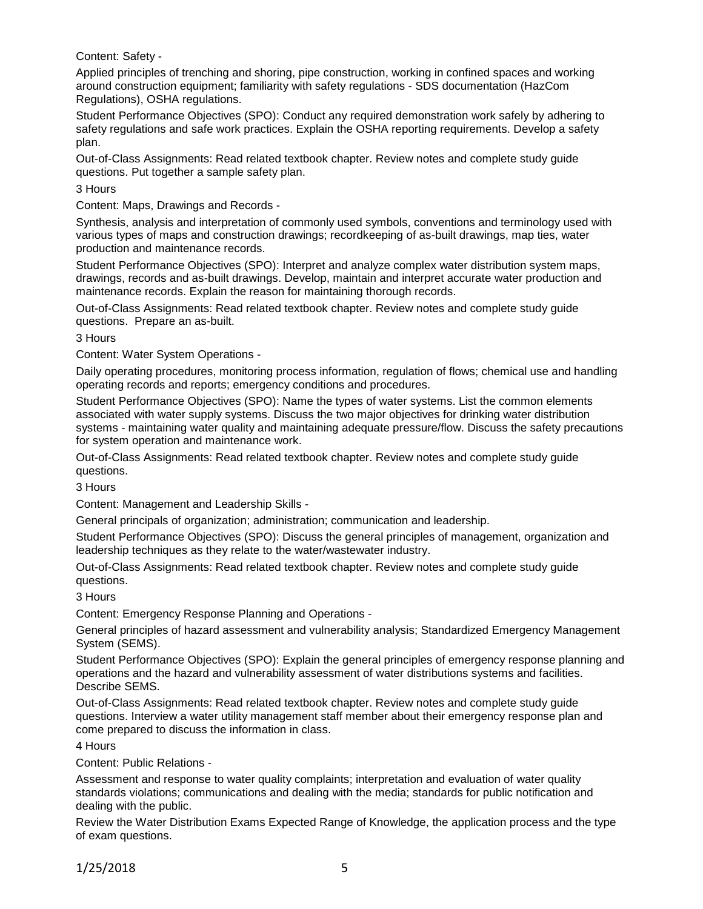Content: Safety -

Applied principles of trenching and shoring, pipe construction, working in confined spaces and working around construction equipment; familiarity with safety regulations - SDS documentation (HazCom Regulations), OSHA regulations.

Student Performance Objectives (SPO): Conduct any required demonstration work safely by adhering to safety regulations and safe work practices. Explain the OSHA reporting requirements. Develop a safety plan.

Out-of-Class Assignments: Read related textbook chapter. Review notes and complete study guide questions. Put together a sample safety plan.

3 Hours

Content: Maps, Drawings and Records -

Synthesis, analysis and interpretation of commonly used symbols, conventions and terminology used with various types of maps and construction drawings; recordkeeping of as-built drawings, map ties, water production and maintenance records.

Student Performance Objectives (SPO): Interpret and analyze complex water distribution system maps, drawings, records and as-built drawings. Develop, maintain and interpret accurate water production and maintenance records. Explain the reason for maintaining thorough records.

Out-of-Class Assignments: Read related textbook chapter. Review notes and complete study guide questions. Prepare an as-built.

3 Hours

Content: Water System Operations -

Daily operating procedures, monitoring process information, regulation of flows; chemical use and handling operating records and reports; emergency conditions and procedures.

Student Performance Objectives (SPO): Name the types of water systems. List the common elements associated with water supply systems. Discuss the two major objectives for drinking water distribution systems - maintaining water quality and maintaining adequate pressure/flow. Discuss the safety precautions for system operation and maintenance work.

Out-of-Class Assignments: Read related textbook chapter. Review notes and complete study guide questions.

3 Hours

Content: Management and Leadership Skills -

General principals of organization; administration; communication and leadership.

Student Performance Objectives (SPO): Discuss the general principles of management, organization and leadership techniques as they relate to the water/wastewater industry.

Out-of-Class Assignments: Read related textbook chapter. Review notes and complete study guide questions.

3 Hours

Content: Emergency Response Planning and Operations -

General principles of hazard assessment and vulnerability analysis; Standardized Emergency Management System (SEMS).

Student Performance Objectives (SPO): Explain the general principles of emergency response planning and operations and the hazard and vulnerability assessment of water distributions systems and facilities. Describe SEMS.

Out-of-Class Assignments: Read related textbook chapter. Review notes and complete study guide questions. Interview a water utility management staff member about their emergency response plan and come prepared to discuss the information in class.

4 Hours

Content: Public Relations -

Assessment and response to water quality complaints; interpretation and evaluation of water quality standards violations; communications and dealing with the media; standards for public notification and dealing with the public.

Review the Water Distribution Exams Expected Range of Knowledge, the application process and the type of exam questions.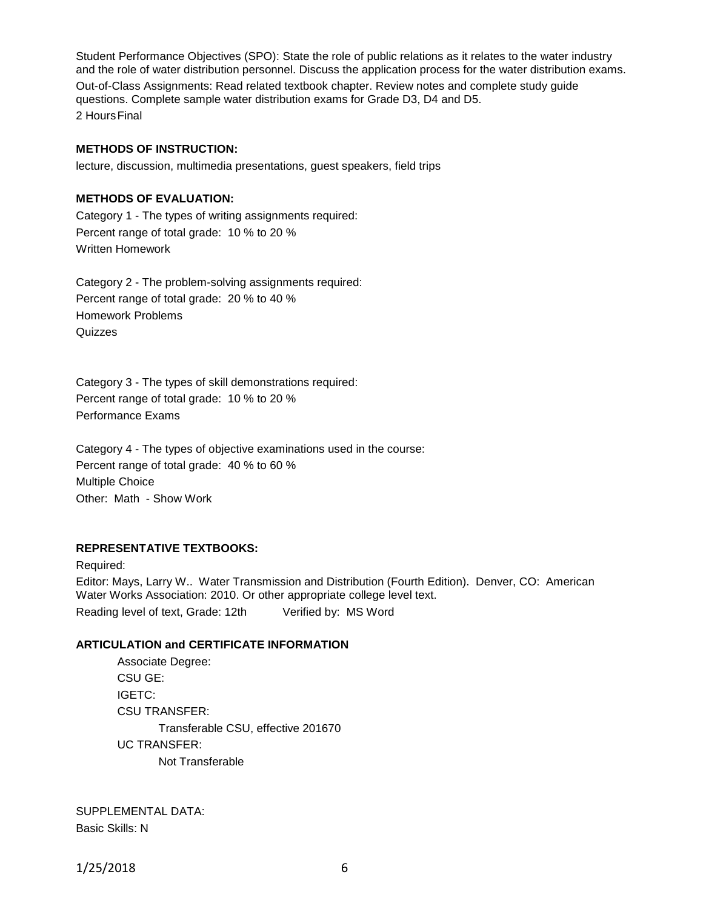Student Performance Objectives (SPO): State the role of public relations as it relates to the water industry and the role of water distribution personnel. Discuss the application process for the water distribution exams.

Out-of-Class Assignments: Read related textbook chapter. Review notes and complete study guide questions. Complete sample water distribution exams for Grade D3, D4 and D5. 2 HoursFinal

#### **METHODS OF INSTRUCTION:**

lecture, discussion, multimedia presentations, guest speakers, field trips

#### **METHODS OF EVALUATION:**

Category 1 - The types of writing assignments required: Percent range of total grade: 10 % to 20 % Written Homework

Category 2 - The problem-solving assignments required: Percent range of total grade: 20 % to 40 % Homework Problems **Quizzes** 

Category 3 - The types of skill demonstrations required: Percent range of total grade: 10 % to 20 % Performance Exams

Category 4 - The types of objective examinations used in the course: Percent range of total grade: 40 % to 60 % Multiple Choice Other: Math - Show Work

#### **REPRESENTATIVE TEXTBOOKS:**

Required: Editor: Mays, Larry W.. Water Transmission and Distribution (Fourth Edition). Denver, CO: American Water Works Association: 2010. Or other appropriate college level text. Reading level of text, Grade: 12th Verified by: MS Word

# **ARTICULATION and CERTIFICATE INFORMATION**

Associate Degree: CSU GE: IGETC: CSU TRANSFER: Transferable CSU, effective 201670 UC TRANSFER: Not Transferable

SUPPLEMENTAL DATA: Basic Skills: N

1/25/2018 6